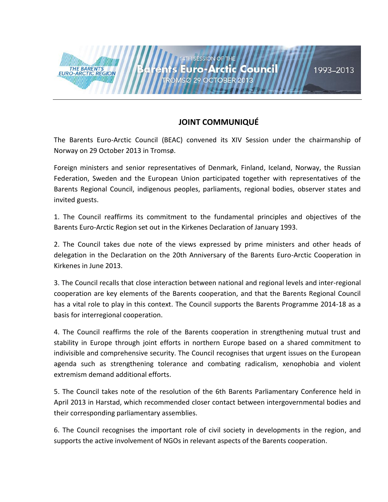## **JOINT COMMUNIQUÉ**

ts Euro-Arctic Council

The Barents Euro-Arctic Council (BEAC) convened its XIV Session under the chairmanship of Norway on 29 October 2013 in Tromsø.

**4TH SESSION OF THE** 

ROMSØ 29 OCTOBER 2013

THE BARENTS<br>EURO-ARCTIC REGION

Foreign ministers and senior representatives of Denmark, Finland, Iceland, Norway, the Russian Federation, Sweden and the European Union participated together with representatives of the Barents Regional Council, indigenous peoples, parliaments, regional bodies, observer states and invited guests.

1. The Council reaffirms its commitment to the fundamental principles and objectives of the Barents Euro-Arctic Region set out in the Kirkenes Declaration of January 1993.

2. The Council takes due note of the views expressed by prime ministers and other heads of delegation in the Declaration on the 20th Anniversary of the Barents Euro-Arctic Cooperation in Kirkenes in June 2013.

3. The Council recalls that close interaction between national and regional levels and inter-regional cooperation are key elements of the Barents cooperation, and that the Barents Regional Council has a vital role to play in this context. The Council supports the Barents Programme 2014-18 as a basis for interregional cooperation.

4. The Council reaffirms the role of the Barents cooperation in strengthening mutual trust and stability in Europe through joint efforts in northern Europe based on a shared commitment to indivisible and comprehensive security. The Council recognises that urgent issues on the European agenda such as strengthening tolerance and combating radicalism, xenophobia and violent extremism demand additional efforts.

5. The Council takes note of the resolution of the 6th Barents Parliamentary Conference held in April 2013 in Harstad, which recommended closer contact between intergovernmental bodies and their corresponding parliamentary assemblies.

6. The Council recognises the important role of civil society in developments in the region, and supports the active involvement of NGOs in relevant aspects of the Barents cooperation.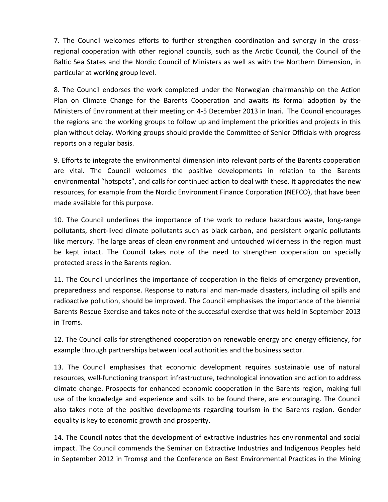7. The Council welcomes efforts to further strengthen coordination and synergy in the crossregional cooperation with other regional councils, such as the Arctic Council, the Council of the Baltic Sea States and the Nordic Council of Ministers as well as with the Northern Dimension, in particular at working group level.

8. The Council endorses the work completed under the Norwegian chairmanship on the Action Plan on Climate Change for the Barents Cooperation and awaits its formal adoption by the Ministers of Environment at their meeting on 4-5 December 2013 in Inari. The Council encourages the regions and the working groups to follow up and implement the priorities and projects in this plan without delay. Working groups should provide the Committee of Senior Officials with progress reports on a regular basis.

9. Efforts to integrate the environmental dimension into relevant parts of the Barents cooperation are vital. The Council welcomes the positive developments in relation to the Barents environmental "hotspots", and calls for continued action to deal with these. It appreciates the new resources, for example from the Nordic Environment Finance Corporation (NEFCO), that have been made available for this purpose.

10. The Council underlines the importance of the work to reduce hazardous waste, long-range pollutants, short-lived climate pollutants such as black carbon, and persistent organic pollutants like mercury. The large areas of clean environment and untouched wilderness in the region must be kept intact. The Council takes note of the need to strengthen cooperation on specially protected areas in the Barents region.

11. The Council underlines the importance of cooperation in the fields of emergency prevention, preparedness and response. Response to natural and man-made disasters, including oil spills and radioactive pollution, should be improved. The Council emphasises the importance of the biennial Barents Rescue Exercise and takes note of the successful exercise that was held in September 2013 in Troms.

12. The Council calls for strengthened cooperation on renewable energy and energy efficiency, for example through partnerships between local authorities and the business sector.

13. The Council emphasises that economic development requires sustainable use of natural resources, well-functioning transport infrastructure, technological innovation and action to address climate change. Prospects for enhanced economic cooperation in the Barents region, making full use of the knowledge and experience and skills to be found there, are encouraging. The Council also takes note of the positive developments regarding tourism in the Barents region. Gender equality is key to economic growth and prosperity.

14. The Council notes that the development of extractive industries has environmental and social impact. The Council commends the Seminar on Extractive Industries and Indigenous Peoples held in September 2012 in Tromsø and the Conference on Best Environmental Practices in the Mining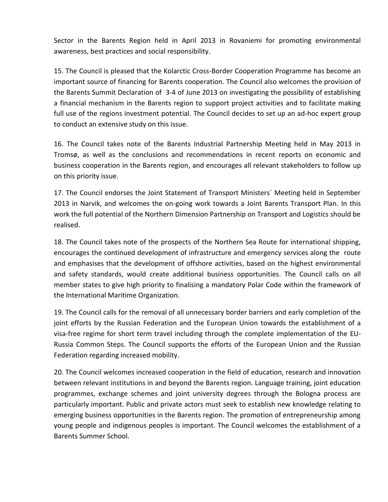Sector in the Barents Region held in April 2013 in Rovaniemi for promoting environmental awareness, best practices and social responsibility.

15. The Council is pleased that the Kolarctic Cross-Border Cooperation Programme has become an important source of financing for Barents cooperation. The Council also welcomes the provision of the Barents Summit Declaration of 3-4 of June 2013 on investigating the possibility of establishing a financial mechanism in the Barents region to support project activities and to facilitate making full use of the regions investment potential. The Council decides to set up an ad-hoc expert group to conduct an extensive study on this issue.

16. The Council takes note of the Barents Industrial Partnership Meeting held in May 2013 in Tromsø, as well as the conclusions and recommendations in recent reports on economic and business cooperation in the Barents region, and encourages all relevant stakeholders to follow up on this priority issue.

17. The Council endorses the Joint Statement of Transport Ministers´ Meeting held in September 2013 in Narvik, and welcomes the on-going work towards a Joint Barents Transport Plan. In this work the full potential of the Northern Dimension Partnership on Transport and Logistics should be realised.

18. The Council takes note of the prospects of the Northern Sea Route for international shipping, encourages the continued development of infrastructure and emergency services along the route and emphasises that the development of offshore activities, based on the highest environmental and safety standards, would create additional business opportunities. The Council calls on all member states to give high priority to finalising a mandatory Polar Code within the framework of the International Maritime Organization.

19. The Council calls for the removal of all unnecessary border barriers and early completion of the joint efforts by the Russian Federation and the European Union towards the establishment of a visa-free regime for short term travel including through the complete implementation of the EU-Russia Common Steps. The Council supports the efforts of the European Union and the Russian Federation regarding increased mobility.

20. The Council welcomes increased cooperation in the field of education, research and innovation between relevant institutions in and beyond the Barents region. Language training, joint education programmes, exchange schemes and joint university degrees through the Bologna process are particularly important. Public and private actors must seek to establish new knowledge relating to emerging business opportunities in the Barents region. The promotion of entrepreneurship among young people and indigenous peoples is important. The Council welcomes the establishment of a Barents Summer School.